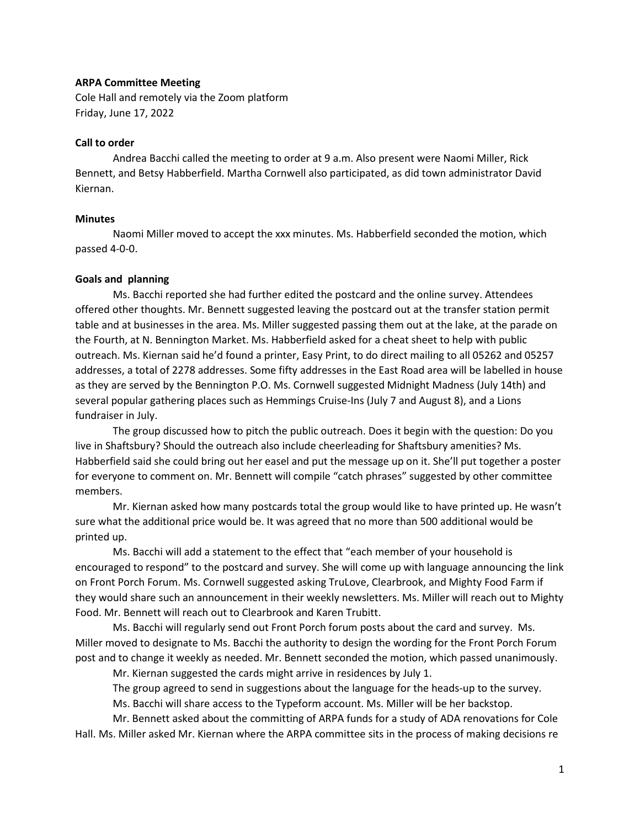#### **ARPA Committee Meeting**

Cole Hall and remotely via the Zoom platform Friday, June 17, 2022

### **Call to order**

Andrea Bacchi called the meeting to order at 9 a.m. Also present were Naomi Miller, Rick Bennett, and Betsy Habberfield. Martha Cornwell also participated, as did town administrator David Kiernan.

### **Minutes**

Naomi Miller moved to accept the xxx minutes. Ms. Habberfield seconded the motion, which passed 4-0-0.

#### **Goals and planning**

Ms. Bacchi reported she had further edited the postcard and the online survey. Attendees offered other thoughts. Mr. Bennett suggested leaving the postcard out at the transfer station permit table and at businesses in the area. Ms. Miller suggested passing them out at the lake, at the parade on the Fourth, at N. Bennington Market. Ms. Habberfield asked for a cheat sheet to help with public outreach. Ms. Kiernan said he'd found a printer, Easy Print, to do direct mailing to all 05262 and 05257 addresses, a total of 2278 addresses. Some fifty addresses in the East Road area will be labelled in house as they are served by the Bennington P.O. Ms. Cornwell suggested Midnight Madness (July 14th) and several popular gathering places such as Hemmings Cruise-Ins (July 7 and August 8), and a Lions fundraiser in July.

The group discussed how to pitch the public outreach. Does it begin with the question: Do you live in Shaftsbury? Should the outreach also include cheerleading for Shaftsbury amenities? Ms. Habberfield said she could bring out her easel and put the message up on it. She'll put together a poster for everyone to comment on. Mr. Bennett will compile "catch phrases" suggested by other committee members.

Mr. Kiernan asked how many postcards total the group would like to have printed up. He wasn't sure what the additional price would be. It was agreed that no more than 500 additional would be printed up.

Ms. Bacchi will add a statement to the effect that "each member of your household is encouraged to respond" to the postcard and survey. She will come up with language announcing the link on Front Porch Forum. Ms. Cornwell suggested asking TruLove, Clearbrook, and Mighty Food Farm if they would share such an announcement in their weekly newsletters. Ms. Miller will reach out to Mighty Food. Mr. Bennett will reach out to Clearbrook and Karen Trubitt.

Ms. Bacchi will regularly send out Front Porch forum posts about the card and survey. Ms. Miller moved to designate to Ms. Bacchi the authority to design the wording for the Front Porch Forum post and to change it weekly as needed. Mr. Bennett seconded the motion, which passed unanimously.

Mr. Kiernan suggested the cards might arrive in residences by July 1.

The group agreed to send in suggestions about the language for the heads-up to the survey.

Ms. Bacchi will share access to the Typeform account. Ms. Miller will be her backstop.

Mr. Bennett asked about the committing of ARPA funds for a study of ADA renovations for Cole Hall. Ms. Miller asked Mr. Kiernan where the ARPA committee sits in the process of making decisions re